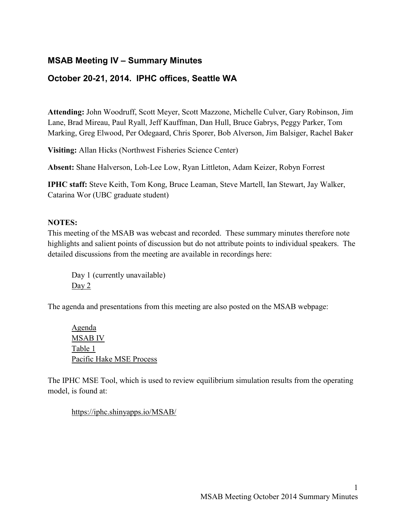## **MSAB Meeting IV – Summary Minutes**

## **October 20-21, 2014. IPHC offices, Seattle WA**

**Attending:** John Woodruff, Scott Meyer, Scott Mazzone, Michelle Culver, Gary Robinson, Jim Lane, Brad Mireau, Paul Ryall, Jeff Kauffman, Dan Hull, Bruce Gabrys, Peggy Parker, Tom Marking, Greg Elwood, Per Odegaard, Chris Sporer, Bob Alverson, Jim Balsiger, Rachel Baker

**Visiting:** Allan Hicks (Northwest Fisheries Science Center)

**Absent:** Shane Halverson, Loh-Lee Low, Ryan Littleton, Adam Keizer, Robyn Forrest

**IPHC staff:** Steve Keith, Tom Kong, Bruce Leaman, Steve Martell, Ian Stewart, Jay Walker, Catarina Wor (UBC graduate student)

#### **NOTES:**

This meeting of the MSAB was webcast and recorded. These summary minutes therefore note highlights and salient points of discussion but do not attribute points to individual speakers. The detailed discussions from the meeting are available in recordings here:

Day 1 (currently unavailable) [Day](http://youtu.be/ObyZIyvg9pE) 2

The agenda and presentations from this meeting are also posted on the MSAB webpage:

[Agenda](http://www.iphc.info/MSAB%20Documents/MSABMeetingAgendaOctober20-21-2014.pdf) [MSAB](http://www.iphc.info/MSAB%20Documents/MSAB_MTG4.pdf) IV [Table](http://www.iphc.info/MSAB%20Documents/MSAB_Table1.pdf) 1 Pacific Hake MSE [Process](http://www.iphc.info/MSAB%20Documents/HakeMSEprocessForMSAB.pdf) 

The IPHC MSE Tool, which is used to review equilibrium simulation results from the operating model, is found at:

<https://iphc.shinyapps.io/MSAB/>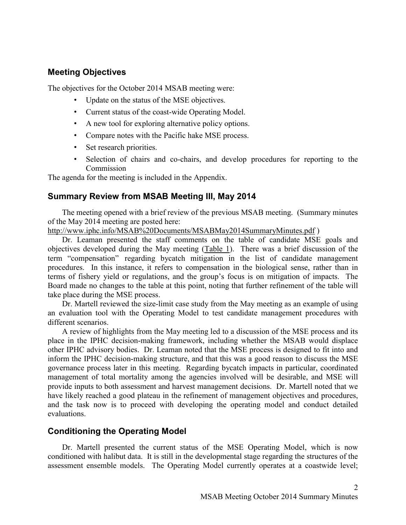## **Meeting Objectives**

The objectives for the October 2014 MSAB meeting were:

- Update on the status of the MSE objectives.
- Current status of the coast-wide Operating Model.
- A new tool for exploring alternative policy options.
- Compare notes with the Pacific hake MSE process.
- Set research priorities.
- Selection of chairs and co-chairs, and develop procedures for reporting to the Commission

The agenda for the meeting is included in the Appendix.

## **Summary Review from MSAB Meeting III, May 2014**

The meeting opened with a brief review of the previous MSAB meeting. (Summary minutes of the May 2014 meeting are posted here:

<http://www.iphc.info/MSAB%20Documents/MSABMay2014SummaryMinutes.pdf> )

Dr. Leaman presented the staff comments on the table of candidate MSE goals and objectives developed during the May meeting [\(Table](http://www.iphc.info/MSAB%20Documents/MSAB_Table1.pdf) 1). There was a brief discussion of the term "compensation" regarding bycatch mitigation in the list of candidate management procedures. In this instance, it refers to compensation in the biological sense, rather than in terms of fishery yield or regulations, and the group's focus is on mitigation of impacts. The Board made no changes to the table at this point, noting that further refinement of the table will take place during the MSE process.

Dr. Martell reviewed the size-limit case study from the May meeting as an example of using an evaluation tool with the Operating Model to test candidate management procedures with different scenarios.

A review of highlights from the May meeting led to a discussion of the MSE process and its place in the IPHC decision-making framework, including whether the MSAB would displace other IPHC advisory bodies. Dr. Leaman noted that the MSE process is designed to fit into and inform the IPHC decision-making structure, and that this was a good reason to discuss the MSE governance process later in this meeting. Regarding bycatch impacts in particular, coordinated management of total mortality among the agencies involved will be desirable, and MSE will provide inputs to both assessment and harvest management decisions. Dr. Martell noted that we have likely reached a good plateau in the refinement of management objectives and procedures, and the task now is to proceed with developing the operating model and conduct detailed evaluations.

## **Conditioning the Operating Model**

Dr. Martell presented the current status of the MSE Operating Model, which is now conditioned with halibut data. It is still in the developmental stage regarding the structures of the assessment ensemble models. The Operating Model currently operates at a coastwide level;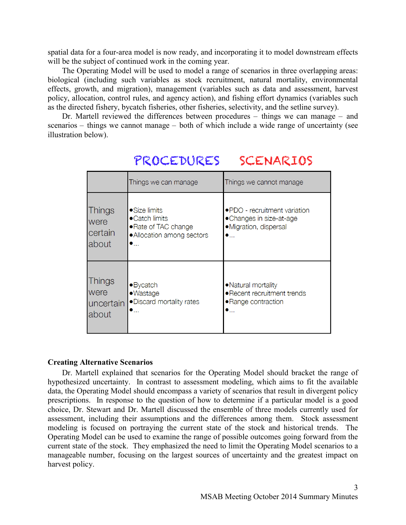spatial data for a four-area model is now ready, and incorporating it to model downstream effects will be the subject of continued work in the coming year.

The Operating Model will be used to model a range of scenarios in three overlapping areas: biological (including such variables as stock recruitment, natural mortality, environmental effects, growth, and migration), management (variables such as data and assessment, harvest policy, allocation, control rules, and agency action), and fishing effort dynamics (variables such as the directed fishery, bycatch fisheries, other fisheries, selectivity, and the setline survey).

Dr. Martell reviewed the differences between procedures – things we can manage – and scenarios – things we cannot manage – both of which include a wide range of uncertainty (see illustration below).

|                                             | Things we can manage                                                                              | Things we cannot manage                                                                                 |  |  |
|---------------------------------------------|---------------------------------------------------------------------------------------------------|---------------------------------------------------------------------------------------------------------|--|--|
| <b>Things</b><br>were<br>certain<br>about   | • Size limits<br>• Catch limits<br>.Rate of TAC change<br>• Allocation among sectors<br>$\bullet$ | $\bullet$ PDO - recruitment variation<br>• Changes in size-at-age<br>·Migration, dispersal<br>$\bullet$ |  |  |
| <b>Things</b><br>were<br>uncertain<br>about | $\bullet$ Bycatch<br>•Wastage<br>• Discard mortality rates<br>$\bullet_{\dots}$                   | •Natural mortality<br>• Recent recruitment trends<br>• Range contraction<br>$\bullet_{\dots}$           |  |  |

# PROCEDURES SCENARIOS

#### **Creating Alternative Scenarios**

Dr. Martell explained that scenarios for the Operating Model should bracket the range of hypothesized uncertainty. In contrast to assessment modeling, which aims to fit the available data, the Operating Model should encompass a variety of scenarios that result in divergent policy prescriptions. In response to the question of how to determine if a particular model is a good choice, Dr. Stewart and Dr. Martell discussed the ensemble of three models currently used for assessment, including their assumptions and the differences among them. Stock assessment modeling is focused on portraying the current state of the stock and historical trends. The Operating Model can be used to examine the range of possible outcomes going forward from the current state of the stock. They emphasized the need to limit the Operating Model scenarios to a manageable number, focusing on the largest sources of uncertainty and the greatest impact on harvest policy.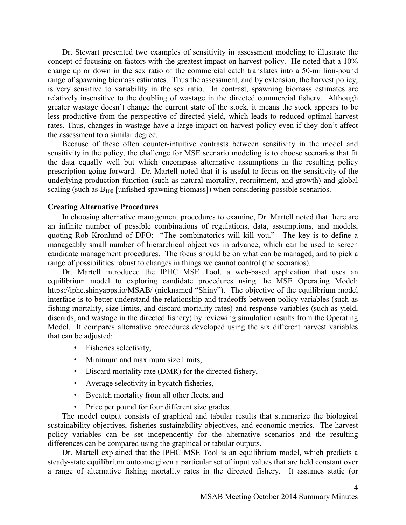Dr. Stewart presented two examples of sensitivity in assessment modeling to illustrate the concept of focusing on factors with the greatest impact on harvest policy. He noted that a 10% change up or down in the sex ratio of the commercial catch translates into a 50-million-pound range of spawning biomass estimates. Thus the assessment, and by extension, the harvest policy, is very sensitive to variability in the sex ratio. In contrast, spawning biomass estimates are relatively insensitive to the doubling of wastage in the directed commercial fishery. Although greater wastage doesn't change the current state of the stock, it means the stock appears to be less productive from the perspective of directed yield, which leads to reduced optimal harvest rates. Thus, changes in wastage have a large impact on harvest policy even if they don't affect the assessment to a similar degree.

Because of these often counter-intuitive contrasts between sensitivity in the model and sensitivity in the policy, the challenge for MSE scenario modeling is to choose scenarios that fit the data equally well but which encompass alternative assumptions in the resulting policy prescription going forward. Dr. Martell noted that it is useful to focus on the sensitivity of the underlying production function (such as natural mortality, recruitment, and growth) and global scaling (such as  $B_{100}$  [unfished spawning biomass]) when considering possible scenarios.

#### **Creating Alternative Procedures**

In choosing alternative management procedures to examine, Dr. Martell noted that there are an infinite number of possible combinations of regulations, data, assumptions, and models, quoting Rob Kronlund of DFO: "The combinatorics will kill you." The key is to define a manageably small number of hierarchical objectives in advance, which can be used to screen candidate management procedures. The focus should be on what can be managed, and to pick a range of possibilities robust to changes in things we cannot control (the scenarios).

Dr. Martell introduced the IPHC MSE Tool, a web-based application that uses an equilibrium model to exploring candidate procedures using the MSE Operating Model: <https://iphc.shinyapps.io/MSAB/> (nicknamed "Shiny"). The objective of the equilibrium model interface is to better understand the relationship and tradeoffs between policy variables (such as fishing mortality, size limits, and discard mortality rates) and response variables (such as yield, discards, and wastage in the directed fishery) by reviewing simulation results from the Operating Model. It compares alternative procedures developed using the six different harvest variables that can be adjusted:

- Fisheries selectivity,
- Minimum and maximum size limits,
- Discard mortality rate (DMR) for the directed fishery,
- Average selectivity in bycatch fisheries,
- Bycatch mortality from all other fleets, and
- Price per pound for four different size grades.

The model output consists of graphical and tabular results that summarize the biological sustainability objectives, fisheries sustainability objectives, and economic metrics. The harvest policy variables can be set independently for the alternative scenarios and the resulting differences can be compared using the graphical or tabular outputs.

Dr. Martell explained that the IPHC MSE Tool is an equilibrium model, which predicts a steady-state equilibrium outcome given a particular set of input values that are held constant over a range of alternative fishing mortality rates in the directed fishery. It assumes static (or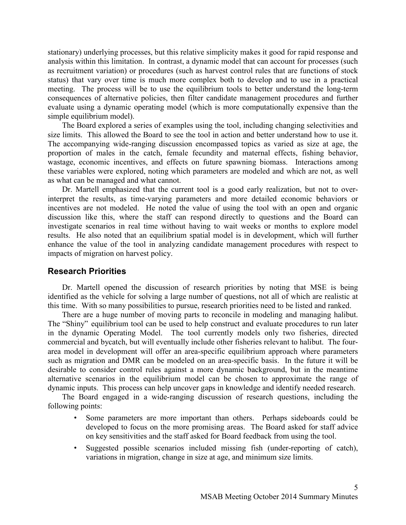stationary) underlying processes, but this relative simplicity makes it good for rapid response and analysis within this limitation. In contrast, a dynamic model that can account for processes (such as recruitment variation) or procedures (such as harvest control rules that are functions of stock status) that vary over time is much more complex both to develop and to use in a practical meeting. The process will be to use the equilibrium tools to better understand the long-term consequences of alternative policies, then filter candidate management procedures and further evaluate using a dynamic operating model (which is more computationally expensive than the simple equilibrium model).

The Board explored a series of examples using the tool, including changing selectivities and size limits. This allowed the Board to see the tool in action and better understand how to use it. The accompanying wide-ranging discussion encompassed topics as varied as size at age, the proportion of males in the catch, female fecundity and maternal effects, fishing behavior, wastage, economic incentives, and effects on future spawning biomass. Interactions among these variables were explored, noting which parameters are modeled and which are not, as well as what can be managed and what cannot.

Dr. Martell emphasized that the current tool is a good early realization, but not to overinterpret the results, as time-varying parameters and more detailed economic behaviors or incentives are not modeled. He noted the value of using the tool with an open and organic discussion like this, where the staff can respond directly to questions and the Board can investigate scenarios in real time without having to wait weeks or months to explore model results. He also noted that an equilibrium spatial model is in development, which will further enhance the value of the tool in analyzing candidate management procedures with respect to impacts of migration on harvest policy.

## **Research Priorities**

Dr. Martell opened the discussion of research priorities by noting that MSE is being identified as the vehicle for solving a large number of questions, not all of which are realistic at this time. With so many possibilities to pursue, research priorities need to be listed and ranked.

There are a huge number of moving parts to reconcile in modeling and managing halibut. The "Shiny" equilibrium tool can be used to help construct and evaluate procedures to run later in the dynamic Operating Model. The tool currently models only two fisheries, directed commercial and bycatch, but will eventually include other fisheries relevant to halibut. The fourarea model in development will offer an area-specific equilibrium approach where parameters such as migration and DMR can be modeled on an area-specific basis. In the future it will be desirable to consider control rules against a more dynamic background, but in the meantime alternative scenarios in the equilibrium model can be chosen to approximate the range of dynamic inputs. This process can help uncover gaps in knowledge and identify needed research.

The Board engaged in a wide-ranging discussion of research questions, including the following points:

- Some parameters are more important than others. Perhaps sideboards could be developed to focus on the more promising areas. The Board asked for staff advice on key sensitivities and the staff asked for Board feedback from using the tool.
- Suggested possible scenarios included missing fish (under-reporting of catch), variations in migration, change in size at age, and minimum size limits.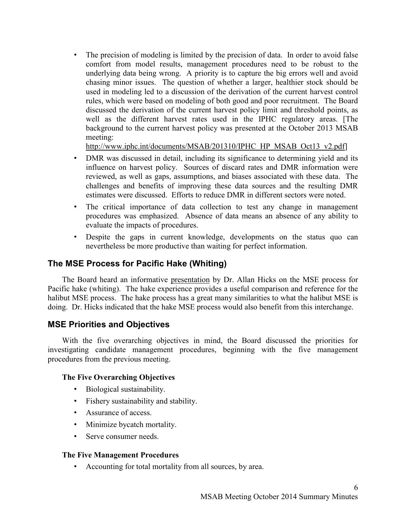• The precision of modeling is limited by the precision of data. In order to avoid false comfort from model results, management procedures need to be robust to the underlying data being wrong. A priority is to capture the big errors well and avoid chasing minor issues. The question of whether a larger, healthier stock should be used in modeling led to a discussion of the derivation of the current harvest control rules, which were based on modeling of both good and poor recruitment. The Board discussed the derivation of the current harvest policy limit and threshold points, as well as the different harvest rates used in the IPHC regulatory areas. [The background to the current harvest policy was presented at the October 2013 MSAB meeting:

[http://www.iphc.int/documents/MSAB/201310/IPHC\\_HP\\_MSAB\\_Oct13\\_v2.pdf\]](http://www.iphc.int/documents/MSAB/201310/IPHC_HP_MSAB_Oct13_v2.pdf)

- DMR was discussed in detail, including its significance to determining yield and its influence on harvest policy. Sources of discard rates and DMR information were reviewed, as well as gaps, assumptions, and biases associated with these data. The challenges and benefits of improving these data sources and the resulting DMR estimates were discussed. Efforts to reduce DMR in different sectors were noted.
- The critical importance of data collection to test any change in management procedures was emphasized. Absence of data means an absence of any ability to evaluate the impacts of procedures.
- Despite the gaps in current knowledge, developments on the status quo can nevertheless be more productive than waiting for perfect information.

## **The MSE Process for Pacific Hake (Whiting)**

The Board heard an informative [presentation](http://www.iphc.info/MSAB%20Documents/HakeMSEprocessForMSAB.pdf) by Dr. Allan Hicks on the MSE process for Pacific hake (whiting). The hake experience provides a useful comparison and reference for the halibut MSE process. The hake process has a great many similarities to what the halibut MSE is doing. Dr. Hicks indicated that the hake MSE process would also benefit from this interchange.

### **MSE Priorities and Objectives**

With the five overarching objectives in mind, the Board discussed the priorities for investigating candidate management procedures, beginning with the five management procedures from the previous meeting.

#### **The Five Overarching Objectives**

- Biological sustainability.
- Fishery sustainability and stability.
- Assurance of access.
- Minimize bycatch mortality.
- Serve consumer needs.

#### **The Five Management Procedures**

• Accounting for total mortality from all sources, by area.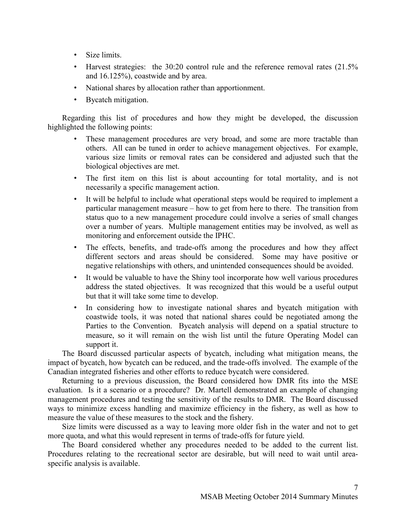- Size limits.
- Harvest strategies: the 30:20 control rule and the reference removal rates (21.5%) and 16.125%), coastwide and by area.
- National shares by allocation rather than apportionment.
- Bycatch mitigation.

Regarding this list of procedures and how they might be developed, the discussion highlighted the following points:

- These management procedures are very broad, and some are more tractable than others. All can be tuned in order to achieve management objectives. For example, various size limits or removal rates can be considered and adjusted such that the biological objectives are met.
- The first item on this list is about accounting for total mortality, and is not necessarily a specific management action.
- It will be helpful to include what operational steps would be required to implement a particular management measure – how to get from here to there. The transition from status quo to a new management procedure could involve a series of small changes over a number of years. Multiple management entities may be involved, as well as monitoring and enforcement outside the IPHC.
- The effects, benefits, and trade-offs among the procedures and how they affect different sectors and areas should be considered. Some may have positive or negative relationships with others, and unintended consequences should be avoided.
- It would be valuable to have the Shiny tool incorporate how well various procedures address the stated objectives. It was recognized that this would be a useful output but that it will take some time to develop.
- In considering how to investigate national shares and bycatch mitigation with coastwide tools, it was noted that national shares could be negotiated among the Parties to the Convention. Bycatch analysis will depend on a spatial structure to measure, so it will remain on the wish list until the future Operating Model can support it.

The Board discussed particular aspects of bycatch, including what mitigation means, the impact of bycatch, how bycatch can be reduced, and the trade-offs involved. The example of the Canadian integrated fisheries and other efforts to reduce bycatch were considered.

Returning to a previous discussion, the Board considered how DMR fits into the MSE evaluation. Is it a scenario or a procedure? Dr. Martell demonstrated an example of changing management procedures and testing the sensitivity of the results to DMR. The Board discussed ways to minimize excess handling and maximize efficiency in the fishery, as well as how to measure the value of these measures to the stock and the fishery.

Size limits were discussed as a way to leaving more older fish in the water and not to get more quota, and what this would represent in terms of trade-offs for future yield.

The Board considered whether any procedures needed to be added to the current list. Procedures relating to the recreational sector are desirable, but will need to wait until areaspecific analysis is available.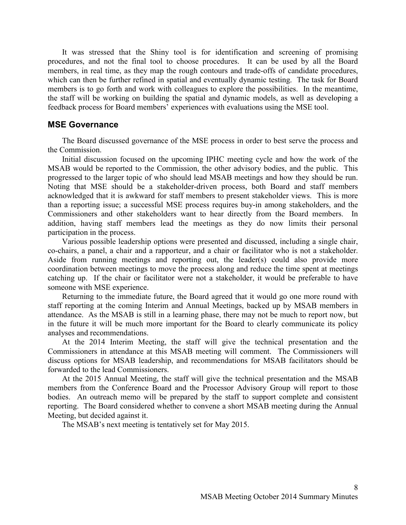It was stressed that the Shiny tool is for identification and screening of promising procedures, and not the final tool to choose procedures. It can be used by all the Board members, in real time, as they map the rough contours and trade-offs of candidate procedures, which can then be further refined in spatial and eventually dynamic testing. The task for Board members is to go forth and work with colleagues to explore the possibilities. In the meantime, the staff will be working on building the spatial and dynamic models, as well as developing a feedback process for Board members' experiences with evaluations using the MSE tool.

#### **MSE Governance**

The Board discussed governance of the MSE process in order to best serve the process and the Commission.

Initial discussion focused on the upcoming IPHC meeting cycle and how the work of the MSAB would be reported to the Commission, the other advisory bodies, and the public. This progressed to the larger topic of who should lead MSAB meetings and how they should be run. Noting that MSE should be a stakeholder-driven process, both Board and staff members acknowledged that it is awkward for staff members to present stakeholder views. This is more than a reporting issue; a successful MSE process requires buy-in among stakeholders, and the Commissioners and other stakeholders want to hear directly from the Board members. In addition, having staff members lead the meetings as they do now limits their personal participation in the process.

Various possible leadership options were presented and discussed, including a single chair, co-chairs, a panel, a chair and a rapporteur, and a chair or facilitator who is not a stakeholder. Aside from running meetings and reporting out, the leader(s) could also provide more coordination between meetings to move the process along and reduce the time spent at meetings catching up. If the chair or facilitator were not a stakeholder, it would be preferable to have someone with MSE experience.

Returning to the immediate future, the Board agreed that it would go one more round with staff reporting at the coming Interim and Annual Meetings, backed up by MSAB members in attendance. As the MSAB is still in a learning phase, there may not be much to report now, but in the future it will be much more important for the Board to clearly communicate its policy analyses and recommendations.

At the 2014 Interim Meeting, the staff will give the technical presentation and the Commissioners in attendance at this MSAB meeting will comment. The Commissioners will discuss options for MSAB leadership, and recommendations for MSAB facilitators should be forwarded to the lead Commissioners.

At the 2015 Annual Meeting, the staff will give the technical presentation and the MSAB members from the Conference Board and the Processor Advisory Group will report to those bodies. An outreach memo will be prepared by the staff to support complete and consistent reporting. The Board considered whether to convene a short MSAB meeting during the Annual Meeting, but decided against it.

The MSAB's next meeting is tentatively set for May 2015.